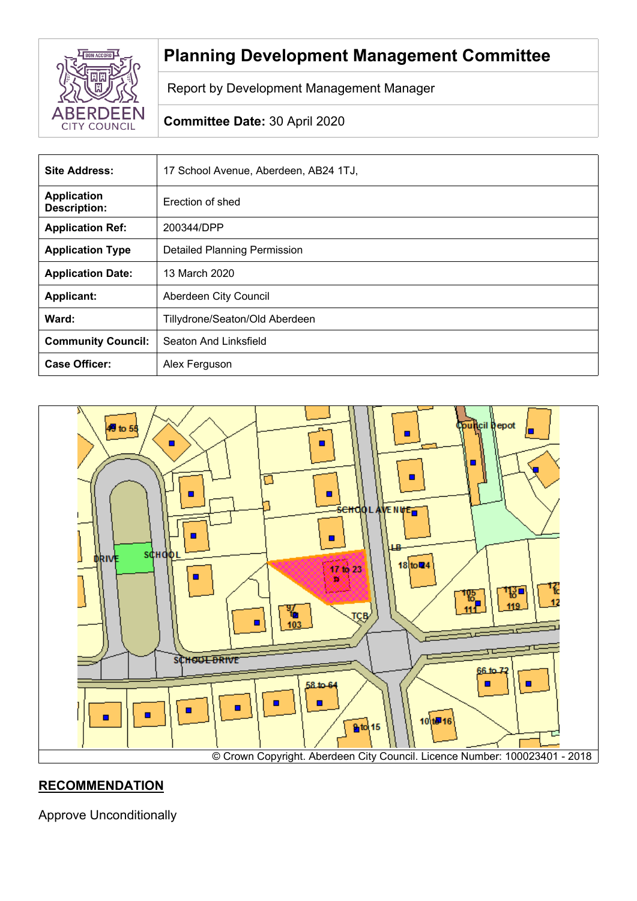

# **Planning Development Management Committee**

Report by Development Management Manager

# **Committee Date:** 30 April 2020

| <b>Site Address:</b>                      | 17 School Avenue, Aberdeen, AB24 1TJ, |
|-------------------------------------------|---------------------------------------|
| <b>Application</b><br><b>Description:</b> | Erection of shed                      |
| <b>Application Ref:</b>                   | 200344/DPP                            |
| <b>Application Type</b>                   | <b>Detailed Planning Permission</b>   |
| <b>Application Date:</b>                  | 13 March 2020                         |
| <b>Applicant:</b>                         | Aberdeen City Council                 |
| Ward:                                     | Tillydrone/Seaton/Old Aberdeen        |
| <b>Community Council:</b>                 | Seaton And Linksfield                 |
| <b>Case Officer:</b>                      | Alex Ferguson                         |



## **RECOMMENDATION**

Approve Unconditionally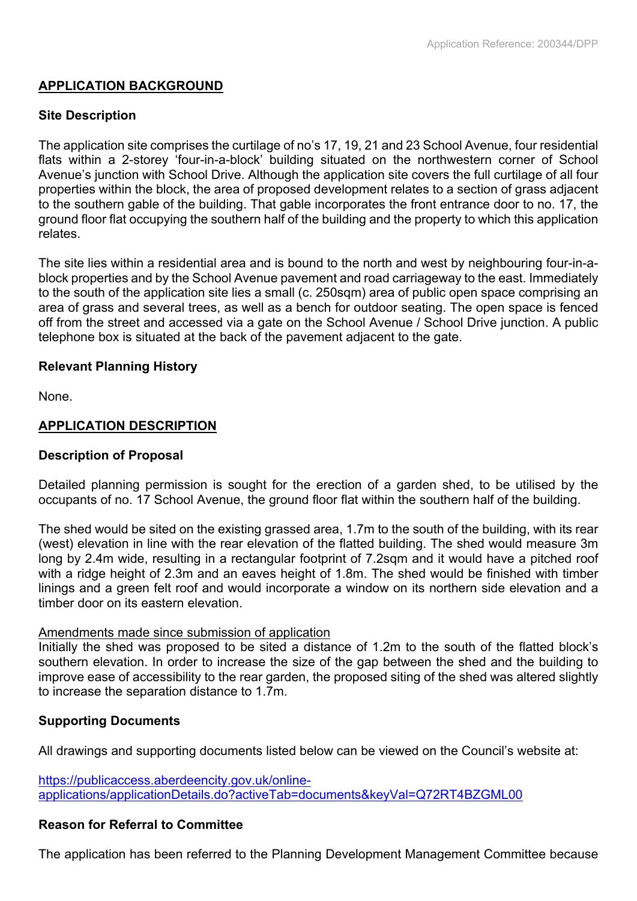## **APPLICATION BACKGROUND**

## **Site Description**

The application site comprises the curtilage of no's 17, 19, 21 and 23 School Avenue, four residential flats within a 2-storey 'four-in-a-block' building situated on the northwestern corner of School Avenue's junction with School Drive. Although the application site covers the full curtilage of all four properties within the block, the area of proposed development relates to a section of grass adjacent to the southern gable of the building. That gable incorporates the front entrance door to no. 17, the ground floor flat occupying the southern half of the building and the property to which this application relates.

The site lies within a residential area and is bound to the north and west by neighbouring four-in-ablock properties and by the School Avenue pavement and road carriageway to the east. Immediately to the south of the application site lies a small (c. 250sqm) area of public open space comprising an area of grass and several trees, as well as a bench for outdoor seating. The open space is fenced off from the street and accessed via a gate on the School Avenue / School Drive junction. A public telephone box is situated at the back of the pavement adjacent to the gate.

## **Relevant Planning History**

None.

## **APPLICATION DESCRIPTION**

#### **Description of Proposal**

Detailed planning permission is sought for the erection of a garden shed, to be utilised by the occupants of no. 17 School Avenue, the ground floor flat within the southern half of the building.

The shed would be sited on the existing grassed area, 1.7m to the south of the building, with its rear (west) elevation in line with the rear elevation of the flatted building. The shed would measure 3m long by 2.4m wide, resulting in a rectangular footprint of 7.2sqm and it would have a pitched roof with a ridge height of 2.3m and an eaves height of 1.8m. The shed would be finished with timber linings and a green felt roof and would incorporate a window on its northern side elevation and a timber door on its eastern elevation.

#### Amendments made since submission of application

Initially the shed was proposed to be sited a distance of 1.2m to the south of the flatted block's southern elevation. In order to increase the size of the gap between the shed and the building to improve ease of accessibility to the rear garden, the proposed siting of the shed was altered slightly to increase the separation distance to 1.7m.

#### **Supporting Documents**

All drawings and supporting documents listed below can be viewed on the Council's website at:

[https://publicaccess.aberdeencity.gov.uk/online](https://publicaccess.aberdeencity.gov.uk/online-applications/applicationDetails.do?activeTab=documents&keyVal=Q72RT4BZGML00)[applications/applicationDetails.do?activeTab=documents&keyVal=Q72RT4BZGML00](https://publicaccess.aberdeencity.gov.uk/online-applications/applicationDetails.do?activeTab=documents&keyVal=Q72RT4BZGML00)

#### **Reason for Referral to Committee**

The application has been referred to the Planning Development Management Committee because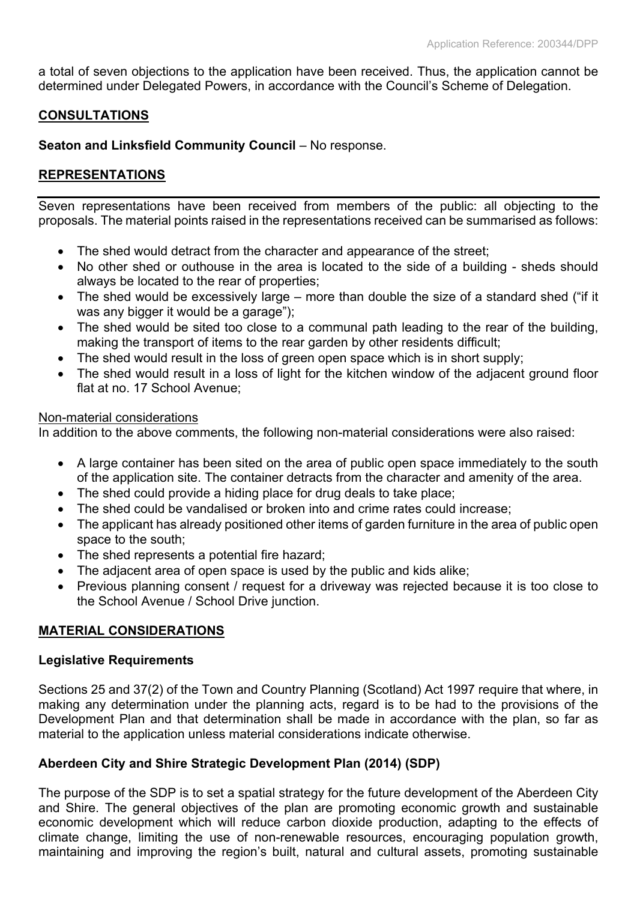a total of seven objections to the application have been received. Thus, the application cannot be determined under Delegated Powers, in accordance with the Council's Scheme of Delegation.

## **CONSULTATIONS**

**Seaton and Linksfield Community Council** – No response.

## **REPRESENTATIONS**

Seven representations have been received from members of the public: all objecting to the proposals. The material points raised in the representations received can be summarised as follows:

- The shed would detract from the character and appearance of the street;
- No other shed or outhouse in the area is located to the side of a building sheds should always be located to the rear of properties;
- The shed would be excessively large more than double the size of a standard shed ("if it was any bigger it would be a garage");
- The shed would be sited too close to a communal path leading to the rear of the building, making the transport of items to the rear garden by other residents difficult;
- The shed would result in the loss of green open space which is in short supply;
- The shed would result in a loss of light for the kitchen window of the adjacent ground floor flat at no. 17 School Avenue:

#### Non-material considerations

In addition to the above comments, the following non-material considerations were also raised:

- A large container has been sited on the area of public open space immediately to the south of the application site. The container detracts from the character and amenity of the area.
- The shed could provide a hiding place for drug deals to take place:
- The shed could be vandalised or broken into and crime rates could increase;
- The applicant has already positioned other items of garden furniture in the area of public open space to the south;
- The shed represents a potential fire hazard;
- The adjacent area of open space is used by the public and kids alike;
- Previous planning consent / request for a driveway was rejected because it is too close to the School Avenue / School Drive junction.

## **MATERIAL CONSIDERATIONS**

#### **Legislative Requirements**

Sections 25 and 37(2) of the Town and Country Planning (Scotland) Act 1997 require that where, in making any determination under the planning acts, regard is to be had to the provisions of the Development Plan and that determination shall be made in accordance with the plan, so far as material to the application unless material considerations indicate otherwise.

## **Aberdeen City and Shire Strategic Development Plan (2014) (SDP)**

The purpose of the SDP is to set a spatial strategy for the future development of the Aberdeen City and Shire. The general objectives of the plan are promoting economic growth and sustainable economic development which will reduce carbon dioxide production, adapting to the effects of climate change, limiting the use of non-renewable resources, encouraging population growth, maintaining and improving the region's built, natural and cultural assets, promoting sustainable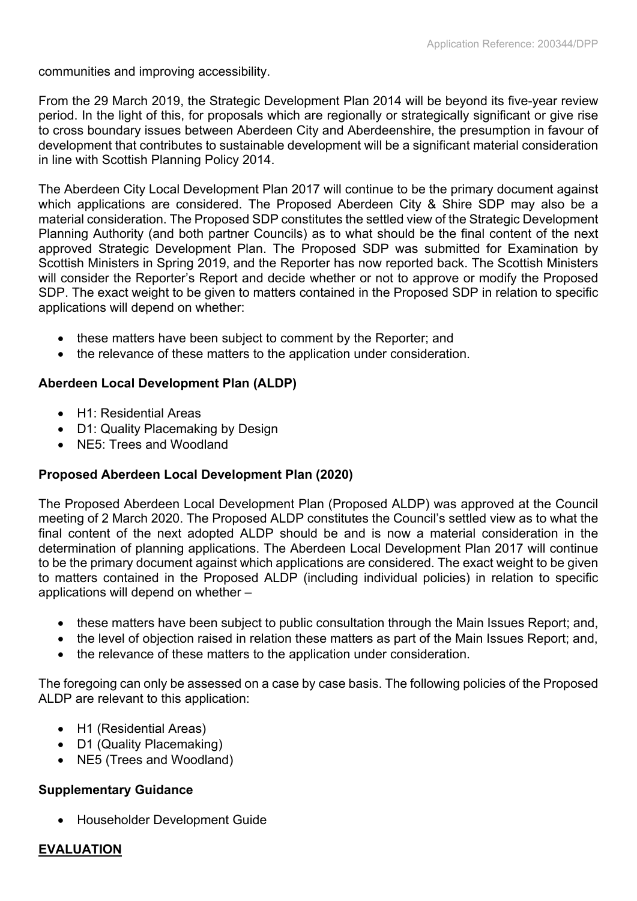communities and improving accessibility.

From the 29 March 2019, the Strategic Development Plan 2014 will be beyond its five-year review period. In the light of this, for proposals which are regionally or strategically significant or give rise to cross boundary issues between Aberdeen City and Aberdeenshire, the presumption in favour of development that contributes to sustainable development will be a significant material consideration in line with Scottish Planning Policy 2014.

The Aberdeen City Local Development Plan 2017 will continue to be the primary document against which applications are considered. The Proposed Aberdeen City & Shire SDP may also be a material consideration. The Proposed SDP constitutes the settled view of the Strategic Development Planning Authority (and both partner Councils) as to what should be the final content of the next approved Strategic Development Plan. The Proposed SDP was submitted for Examination by Scottish Ministers in Spring 2019, and the Reporter has now reported back. The Scottish Ministers will consider the Reporter's Report and decide whether or not to approve or modify the Proposed SDP. The exact weight to be given to matters contained in the Proposed SDP in relation to specific applications will depend on whether:

- these matters have been subject to comment by the Reporter; and
- the relevance of these matters to the application under consideration.

## **Aberdeen Local Development Plan (ALDP)**

- H1: Residential Areas
- D1: Quality Placemaking by Design
- NE5: Trees and Woodland

## **Proposed Aberdeen Local Development Plan (2020)**

The Proposed Aberdeen Local Development Plan (Proposed ALDP) was approved at the Council meeting of 2 March 2020. The Proposed ALDP constitutes the Council's settled view as to what the final content of the next adopted ALDP should be and is now a material consideration in the determination of planning applications. The Aberdeen Local Development Plan 2017 will continue to be the primary document against which applications are considered. The exact weight to be given to matters contained in the Proposed ALDP (including individual policies) in relation to specific applications will depend on whether –

- these matters have been subject to public consultation through the Main Issues Report; and,
- the level of objection raised in relation these matters as part of the Main Issues Report; and,
- the relevance of these matters to the application under consideration.

The foregoing can only be assessed on a case by case basis. The following policies of the Proposed ALDP are relevant to this application:

- H1 (Residential Areas)
- D1 (Quality Placemaking)
- NE5 (Trees and Woodland)

## **Supplementary Guidance**

Householder Development Guide

## **EVALUATION**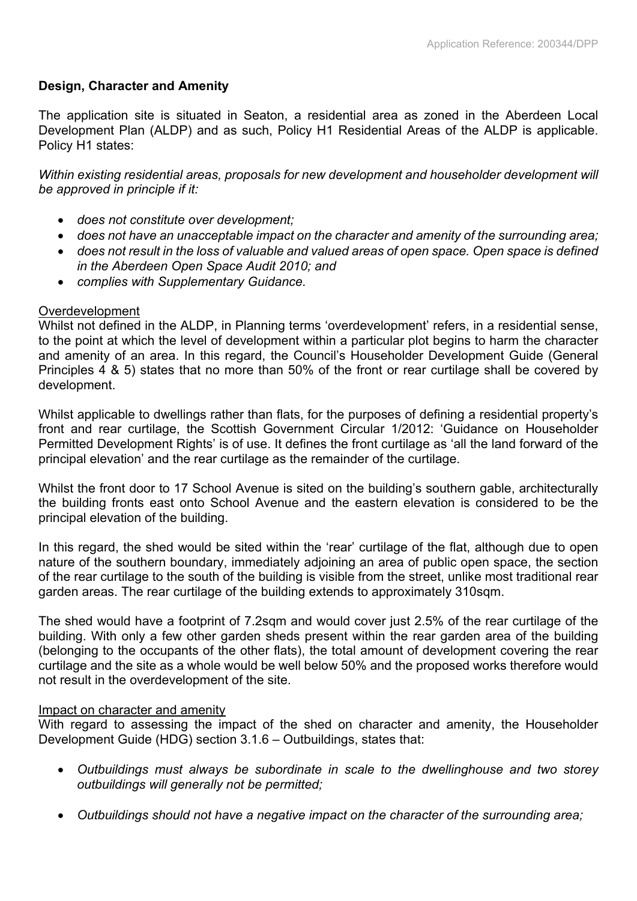## **Design, Character and Amenity**

The application site is situated in Seaton, a residential area as zoned in the Aberdeen Local Development Plan (ALDP) and as such, Policy H1 Residential Areas of the ALDP is applicable. Policy H1 states:

*Within existing residential areas, proposals for new development and householder development will be approved in principle if it:*

- *does not constitute over development;*
- *does not have an unacceptable impact on the character and amenity of the surrounding area;*
- *does not result in the loss of valuable and valued areas of open space. Open space is defined in the Aberdeen Open Space Audit 2010; and*
- *complies with Supplementary Guidance.*

#### Overdevelopment

Whilst not defined in the ALDP, in Planning terms 'overdevelopment' refers, in a residential sense, to the point at which the level of development within a particular plot begins to harm the character and amenity of an area. In this regard, the Council's Householder Development Guide (General Principles 4 & 5) states that no more than 50% of the front or rear curtilage shall be covered by development.

Whilst applicable to dwellings rather than flats, for the purposes of defining a residential property's front and rear curtilage, the Scottish Government Circular 1/2012: 'Guidance on Householder Permitted Development Rights' is of use. It defines the front curtilage as 'all the land forward of the principal elevation' and the rear curtilage as the remainder of the curtilage.

Whilst the front door to 17 School Avenue is sited on the building's southern gable, architecturally the building fronts east onto School Avenue and the eastern elevation is considered to be the principal elevation of the building.

In this regard, the shed would be sited within the 'rear' curtilage of the flat, although due to open nature of the southern boundary, immediately adjoining an area of public open space, the section of the rear curtilage to the south of the building is visible from the street, unlike most traditional rear garden areas. The rear curtilage of the building extends to approximately 310sqm.

The shed would have a footprint of 7.2sqm and would cover just 2.5% of the rear curtilage of the building. With only a few other garden sheds present within the rear garden area of the building (belonging to the occupants of the other flats), the total amount of development covering the rear curtilage and the site as a whole would be well below 50% and the proposed works therefore would not result in the overdevelopment of the site.

#### Impact on character and amenity

With regard to assessing the impact of the shed on character and amenity, the Householder Development Guide (HDG) section 3.1.6 – Outbuildings, states that:

- *Outbuildings must always be subordinate in scale to the dwellinghouse and two storey outbuildings will generally not be permitted;*
- *Outbuildings should not have a negative impact on the character of the surrounding area;*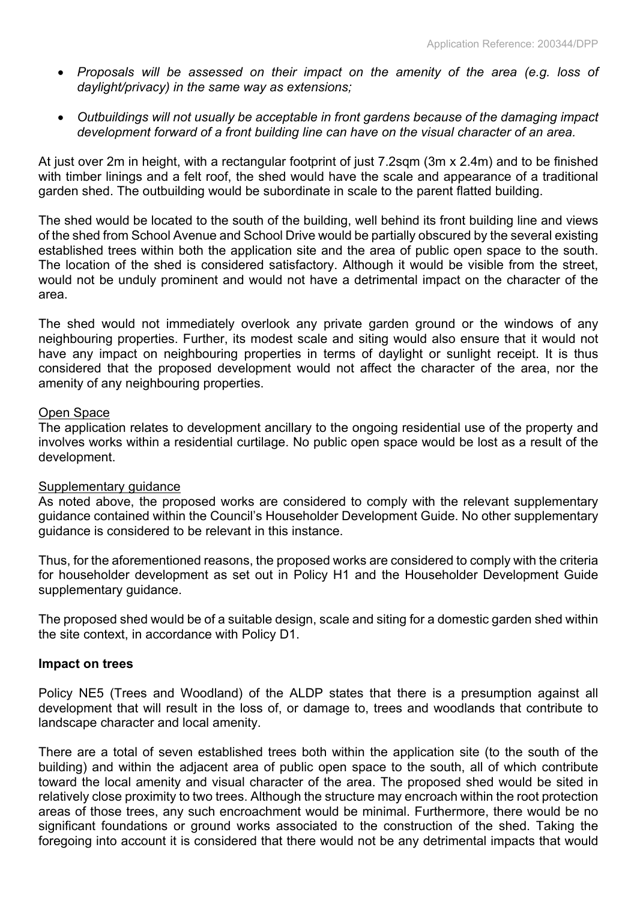- *Proposals will be assessed on their impact on the amenity of the area (e.g. loss of daylight/privacy) in the same way as extensions;*
- *Outbuildings will not usually be acceptable in front gardens because of the damaging impact development forward of a front building line can have on the visual character of an area.*

At just over 2m in height, with a rectangular footprint of just 7.2sqm (3m x 2.4m) and to be finished with timber linings and a felt roof, the shed would have the scale and appearance of a traditional garden shed. The outbuilding would be subordinate in scale to the parent flatted building.

The shed would be located to the south of the building, well behind its front building line and views of the shed from School Avenue and School Drive would be partially obscured by the several existing established trees within both the application site and the area of public open space to the south. The location of the shed is considered satisfactory. Although it would be visible from the street, would not be unduly prominent and would not have a detrimental impact on the character of the area.

The shed would not immediately overlook any private garden ground or the windows of any neighbouring properties. Further, its modest scale and siting would also ensure that it would not have any impact on neighbouring properties in terms of daylight or sunlight receipt. It is thus considered that the proposed development would not affect the character of the area, nor the amenity of any neighbouring properties.

#### Open Space

The application relates to development ancillary to the ongoing residential use of the property and involves works within a residential curtilage. No public open space would be lost as a result of the development.

#### Supplementary guidance

As noted above, the proposed works are considered to comply with the relevant supplementary guidance contained within the Council's Householder Development Guide. No other supplementary guidance is considered to be relevant in this instance.

Thus, for the aforementioned reasons, the proposed works are considered to comply with the criteria for householder development as set out in Policy H1 and the Householder Development Guide supplementary guidance.

The proposed shed would be of a suitable design, scale and siting for a domestic garden shed within the site context, in accordance with Policy D1.

#### **Impact on trees**

Policy NE5 (Trees and Woodland) of the ALDP states that there is a presumption against all development that will result in the loss of, or damage to, trees and woodlands that contribute to landscape character and local amenity.

There are a total of seven established trees both within the application site (to the south of the building) and within the adjacent area of public open space to the south, all of which contribute toward the local amenity and visual character of the area. The proposed shed would be sited in relatively close proximity to two trees. Although the structure may encroach within the root protection areas of those trees, any such encroachment would be minimal. Furthermore, there would be no significant foundations or ground works associated to the construction of the shed. Taking the foregoing into account it is considered that there would not be any detrimental impacts that would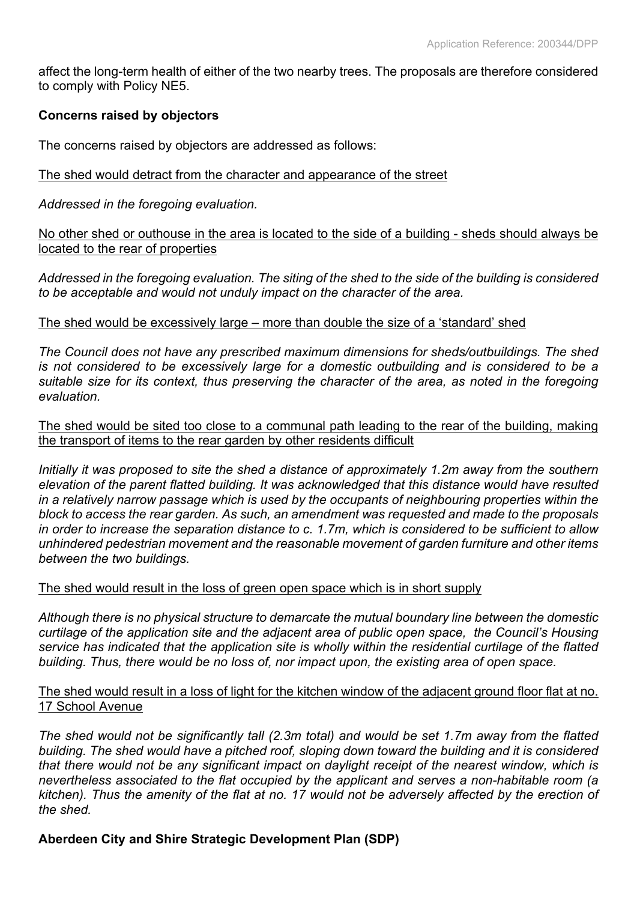affect the long-term health of either of the two nearby trees. The proposals are therefore considered to comply with Policy NE5.

## **Concerns raised by objectors**

The concerns raised by objectors are addressed as follows:

#### The shed would detract from the character and appearance of the street

*Addressed in the foregoing evaluation.*

No other shed or outhouse in the area is located to the side of a building - sheds should always be located to the rear of properties

Addressed in the foregoing evaluation. The siting of the shed to the side of the building is considered *to be acceptable and would not unduly impact on the character of the area.*

#### The shed would be excessively large – more than double the size of a 'standard' shed

*The Council does not have any prescribed maximum dimensions for sheds/outbuildings. The shed is not considered to be excessively large for a domestic outbuilding and is considered to be a suitable size for its context, thus preserving the character of the area, as noted in the foregoing evaluation.*

#### The shed would be sited too close to a communal path leading to the rear of the building, making the transport of items to the rear garden by other residents difficult

*Initially it was proposed to site the shed a distance of approximately 1.2m away from the southern elevation of the parent flatted building. It was acknowledged that this distance would have resulted in a relatively narrow passage which is used by the occupants of neighbouring properties within the block to access the rear garden. As such, an amendment was requested and made to the proposals* in order to increase the separation distance to c. 1.7m, which is considered to be sufficient to allow *unhindered pedestrian movement and the reasonable movement of garden furniture and other items between the two buildings.*

#### The shed would result in the loss of green open space which is in short supply

*Although there is no physical structure to demarcate the mutual boundary line between the domestic curtilage of the application site and the adjacent area of public open space, the Council's Housing service has indicated that the application site is wholly within the residential curtilage of the flatted building. Thus, there would be no loss of, nor impact upon, the existing area of open space.*

#### The shed would result in a loss of light for the kitchen window of the adjacent ground floor flat at no. 17 School Avenue

*The shed would not be significantly tall (2.3m total) and would be set 1.7m away from the flatted building. The shed would have a pitched roof, sloping down toward the building and it is considered that there would not be any significant impact on daylight receipt of the nearest window, which is nevertheless associated to the flat occupied by the applicant and serves a non-habitable room (a* kitchen). Thus the amenity of the flat at no. 17 would not be adversely affected by the erection of *the shed.*

#### **Aberdeen City and Shire Strategic Development Plan (SDP)**